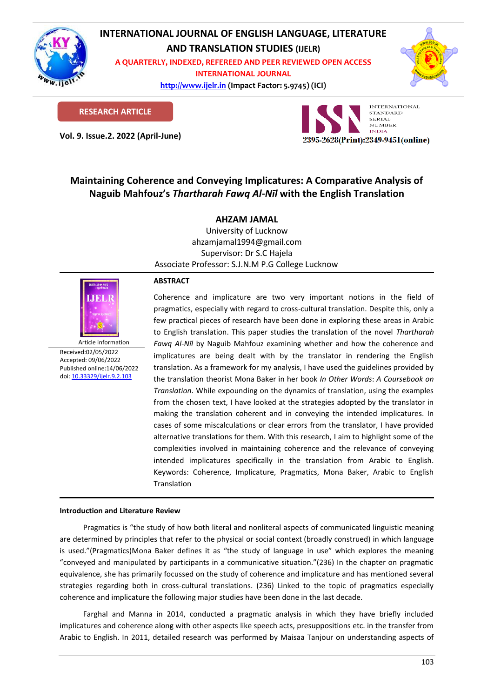

## **INTERNATIONAL JOURNAL OF ENGLISH LANGUAGE, LITERATURE AND TRANSLATION STUDIES (IJELR)**

**A QUARTERLY, INDEXED, REFEREED AND PEER REVIEWED OPEN ACCESS** 

**INTERNATIONAL JOURNAL**

**[http://www.ijelr.in](http://www.ijelr.in/) (Impact Factor: 5.9745) (ICI) KY PUBLICATIONS** 



**RESEARCH ARTICLE**

**Vol. 9. Issue.2. 2022 (April-June) ARTICLE**



# **Maintaining Coherence and Conveying Implicatures: A Comparative Analysis of Naguib Mahfouz's** *Thartharah Fawq Al-Nīl* **with the English Translation**

## **AHZAM JAMAL**

University of Lucknow ahzamjamal1994@gmail.com Supervisor: Dr S.C Hajela Associate Professor: S.J.N.M P.G College Lucknow



Received:02/05/2022 Accepted: 09/06/2022 Published online:14/06/2022 [doi: 10.33329/ijelr.9.2.1](http://www.ijelr.in/)03

### **ABSTRACT**

Coherence and implicature are two very important notions in the field of pragmatics, especially with regard to cross-cultural translation. Despite this, only a few practical pieces of research have been done in exploring these areas in Arabic to English translation. This paper studies the translation of the novel *Thartharah Fawq Al-Nīl* by Naguib Mahfouz examining whether and how the coherence and implicatures are being dealt with by the translator in rendering the English translation. As a framework for my analysis, I have used the guidelines provided by the translation theorist Mona Baker in her book *In Other Words*: *A Coursebook on Translation*. While expounding on the dynamics of translation, using the examples from the chosen text, I have looked at the strategies adopted by the translator in making the translation coherent and in conveying the intended implicatures. In cases of some miscalculations or clear errors from the translator, I have provided alternative translations for them. With this research, I aim to highlight some of the complexities involved in maintaining coherence and the relevance of conveying intended implicatures specifically in the translation from Arabic to English. Keywords: Coherence, Implicature, Pragmatics, Mona Baker, Arabic to English Translation

### **Introduction and Literature Review**

Pragmatics is "the study of how both literal and nonliteral aspects of communicated linguistic meaning are determined by principles that refer to the physical or social context (broadly construed) in which language is used."(Pragmatics)Mona Baker defines it as "the study of language in use" which explores the meaning "conveyed and manipulated by participants in a communicative situation."(236) In the chapter on pragmatic equivalence, she has primarily focussed on the study of coherence and implicature and has mentioned several strategies regarding both in cross-cultural translations. (236) Linked to the topic of pragmatics especially coherence and implicature the following major studies have been done in the last decade.

Farghal and Manna in 2014, conducted a pragmatic analysis in which they have briefly included implicatures and coherence along with other aspects like speech acts, presuppositions etc. in the transfer from Arabic to English. In 2011, detailed research was performed by Maisaa Tanjour on understanding aspects of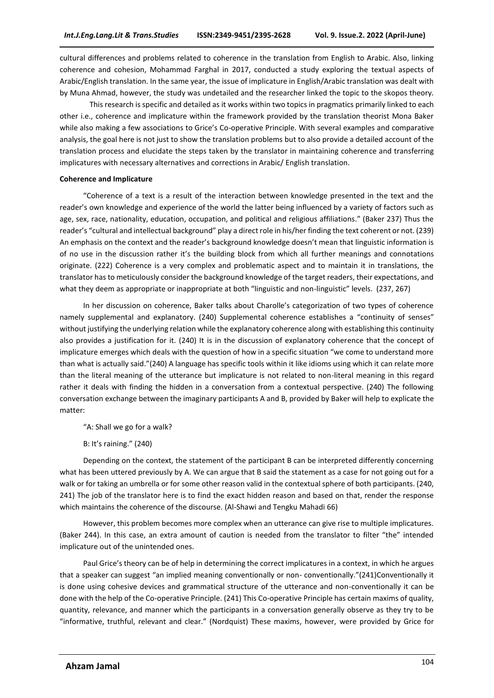cultural differences and problems related to coherence in the translation from English to Arabic. Also, linking coherence and cohesion, Mohammad Farghal in 2017, conducted a study exploring the textual aspects of Arabic/English translation. In the same year, the issue of implicature in English/Arabic translation was dealt with by Muna Ahmad, however, the study was undetailed and the researcher linked the topic to the skopos theory.

This research is specific and detailed as it works within two topics in pragmatics primarily linked to each other i.e., coherence and implicature within the framework provided by the translation theorist Mona Baker while also making a few associations to Grice's Co-operative Principle. With several examples and comparative analysis, the goal here is not just to show the translation problems but to also provide a detailed account of the translation process and elucidate the steps taken by the translator in maintaining coherence and transferring implicatures with necessary alternatives and corrections in Arabic/ English translation.

#### **Coherence and Implicature**

"Coherence of a text is a result of the interaction between knowledge presented in the text and the reader's own knowledge and experience of the world the latter being influenced by a variety of factors such as age, sex, race, nationality, education, occupation, and political and religious affiliations." (Baker 237) Thus the reader's "cultural and intellectual background" play a direct role in his/her finding the text coherent or not. (239) An emphasis on the context and the reader's background knowledge doesn't mean that linguistic information is of no use in the discussion rather it's the building block from which all further meanings and connotations originate. (222) Coherence is a very complex and problematic aspect and to maintain it in translations, the translator has to meticulously consider the background knowledge of the target readers, their expectations, and what they deem as appropriate or inappropriate at both "linguistic and non-linguistic" levels. (237, 267)

In her discussion on coherence, Baker talks about Charolle's categorization of two types of coherence namely supplemental and explanatory. (240) Supplemental coherence establishes a "continuity of senses" without justifying the underlying relation while the explanatory coherence along with establishing this continuity also provides a justification for it. (240) It is in the discussion of explanatory coherence that the concept of implicature emerges which deals with the question of how in a specific situation "we come to understand more than what is actually said."(240) A language has specific tools within it like idioms using which it can relate more than the literal meaning of the utterance but implicature is not related to non-literal meaning in this regard rather it deals with finding the hidden in a conversation from a contextual perspective. (240) The following conversation exchange between the imaginary participants A and B, provided by Baker will help to explicate the matter:

"A: Shall we go for a walk?

B: It's raining." (240)

Depending on the context, the statement of the participant B can be interpreted differently concerning what has been uttered previously by A. We can argue that B said the statement as a case for not going out for a walk or for taking an umbrella or for some other reason valid in the contextual sphere of both participants. (240, 241) The job of the translator here is to find the exact hidden reason and based on that, render the response which maintains the coherence of the discourse. (Al-Shawi and Tengku Mahadi 66)

However, this problem becomes more complex when an utterance can give rise to multiple implicatures. (Baker 244). In this case, an extra amount of caution is needed from the translator to filter "the" intended implicature out of the unintended ones.

Paul Grice's theory can be of help in determining the correct implicatures in a context, in which he argues that a speaker can suggest "an implied meaning conventionally or non- conventionally."(241)Conventionally it is done using cohesive devices and grammatical structure of the utterance and non-conventionally it can be done with the help of the Co-operative Principle. (241) This Co-operative Principle has certain maxims of quality, quantity, relevance, and manner which the participants in a conversation generally observe as they try to be "informative, truthful, relevant and clear." (Nordquist) These maxims, however, were provided by Grice for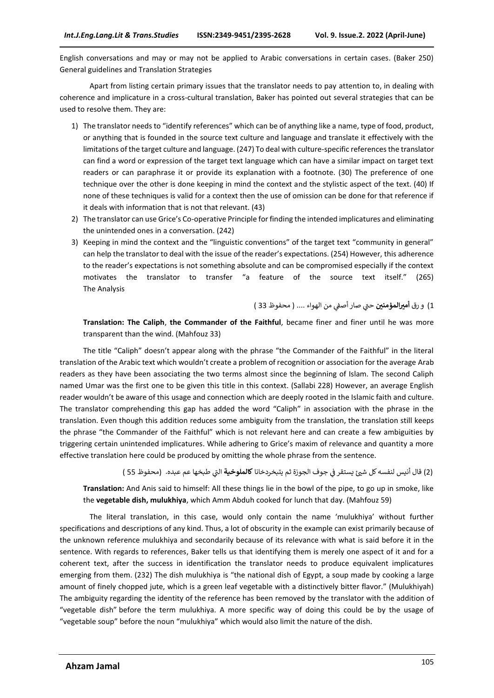English conversations and may or may not be applied to Arabic conversations in certain cases. (Baker 250) General guidelines and Translation Strategies

Apart from listing certain primary issues that the translator needs to pay attention to, in dealing with coherence and implicature in a cross-cultural translation, Baker has pointed out several strategies that can be used to resolve them. They are:

- 1) The translator needs to "identify references" which can be of anything like a name, type of food, product, or anything that is founded in the source text culture and language and translate it effectively with the limitations of the target culture and language. (247) To deal with culture-specific references the translator can find a word or expression of the target text language which can have a similar impact on target text readers or can paraphrase it or provide its explanation with a footnote. (30) The preference of one technique over the other is done keeping in mind the context and the stylistic aspect of the text. (40) If none of these techniques is valid for a context then the use of omission can be done for that reference if it deals with information that is not that relevant. (43)
- 2) The translator can use Grice's Co-operative Principle for finding the intended implicatures and eliminating the unintended ones in a conversation. (242)
- 3) Keeping in mind the context and the "linguistic conventions" of the target text "community in general" can help the translator to deal with the issue of the reader's expectations. (254) However, this adherence to the reader's expectations is not something absolute and can be compromised especially if the context motivates the translator to transfer "a feature of the source text itself." (265) The Analysis

1) و رق أ**ميرالمؤمنين** حتي صار أصفي من الهواء …. ( محفوظ 33 ) ي

**Translation: The Caliph**, **the Commander of the Faithful**, became finer and finer until he was more transparent than the wind. (Mahfouz 33)

The title "Caliph" doesn't appear along with the phrase "the Commander of the Faithful" in the literal translation of the Arabic text which wouldn't create a problem of recognition or association for the average Arab readers as they have been associating the two terms almost since the beginning of Islam. The second Caliph named Umar was the first one to be given this title in this context. (Sallabi 228) However, an average English reader wouldn't be aware of this usage and connection which are deeply rooted in the Islamic faith and culture. The translator comprehending this gap has added the word "Caliph" in association with the phrase in the translation. Even though this addition reduces some ambiguity from the translation, the translation still keeps the phrase "the Commander of the Faithful" which is not relevant here and can create a few ambiguities by triggering certain unintended implicatures. While adhering to Grice's maxim of relevance and quantity a more effective translation here could be produced by omitting the whole phrase from the sentence.

(2) قال أنيس لنفسه كل ش<sub>ك</sub>ئ يستقر في جوف الجوزة ثم يتبخردخانا **كالملوخية** التي طبخها عم عبده. (محفوظ 55 ) į ي

**Translation:** And Anis said to himself: All these things lie in the bowl of the pipe, to go up in smoke, like the **vegetable dish, mulukhiya**, which Amm Abduh cooked for lunch that day. (Mahfouz 59)

The literal translation, in this case, would only contain the name 'mulukhiya' without further specifications and descriptions of any kind. Thus, a lot of obscurity in the example can exist primarily because of the unknown reference mulukhiya and secondarily because of its relevance with what is said before it in the sentence. With regards to references, Baker tells us that identifying them is merely one aspect of it and for a coherent text, after the success in identification the translator needs to produce equivalent implicatures emerging from them. (232) The dish mulukhiya is "the national dish of Egypt, a soup made by cooking a large amount of finely chopped jute, which is a green leaf vegetable with a distinctively bitter flavor." (Mulukhiyah) The ambiguity regarding the identity of the reference has been removed by the translator with the addition of "vegetable dish" before the term mulukhiya. A more specific way of doing this could be by the usage of "vegetable soup" before the noun "mulukhiya" which would also limit the nature of the dish.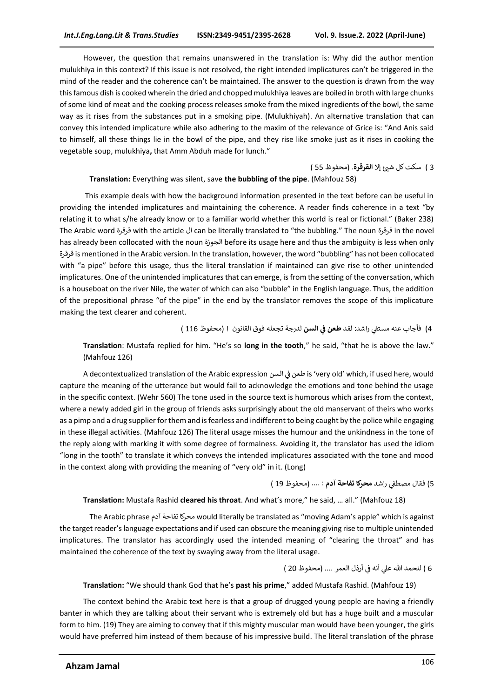However, the question that remains unanswered in the translation is: Why did the author mention mulukhiya in this context? If this issue is not resolved, the right intended implicatures can't be triggered in the mind of the reader and the coherence can't be maintained. The answer to the question is drawn from the way this famous dish is cooked wherein the dried and chopped mulukhiya leaves are boiled in broth with large chunks of some kind of meat and the cooking process releases smoke from the mixed ingredients of the bowl, the same way as it rises from the substances put in a smoking pipe. (Mulukhiyah). An alternative translation that can convey this intended implicature while also adhering to the maxim of the relevance of Grice is: "And Anis said to himself, all these things lie in the bowl of the pipe, and they rise like smoke just as it rises in cooking the vegetable soup, mulukhiya**,** that Amm Abduh made for lunch."

3 ) سكت كل ش<sub>عاً</sub> إلا ا**لقرقرة**. (محفوظ 55 )

#### **Translation:** Everything was silent, save **the bubbling of the pipe**. (Mahfouz 58)

This example deals with how the background information presented in the text before can be useful in providing the intended implicatures and maintaining the coherence. A reader finds coherence in a text "by relating it to what s/he already know or to a familiar world whether this world is real or fictional." (Baker 238) The Arabic word قرقرة with the article ال can be literally translated to "the bubbling." The noun قرقرة in the novel has already been collocated with the noun الجوزة before its usage here and thus the ambiguity is less when only قرقرة is mentioned in the Arabic version. In the translation, however, the word "bubbling" has not been collocated with "a pipe" before this usage, thus the literal translation if maintained can give rise to other unintended implicatures. One of the unintended implicatures that can emerge, is from the setting of the conversation, which is a houseboat on the river Nile, the water of which can also "bubble" in the English language. Thus, the addition of the prepositional phrase "of the pipe" in the end by the translator removes the scope of this implicature making the text clearer and coherent.

4) فأجاب عنه مستفي راشد: لقد **طعن في السن** لدرجة تجعله فوق القانون ! (محفوظ 116 ) **ي** 

**Translation**: Mustafa replied for him. "He's so **long in the tooth**," he said, "that he is above the law." (Mahfouz 126)

A decontextualized translation of the Arabic expression السن ف طعن is 'very old' which, if used here, would ي į capture the meaning of the utterance but would fail to acknowledge the emotions and tone behind the usage in the specific context. (Wehr 560) The tone used in the source text is humorous which arises from the context, where a newly added girl in the group of friends asks surprisingly about the old manservant of theirs who works as a pimp and a drug supplier for them and is fearless and indifferent to being caught by the police while engaging in these illegal activities. (Mahfouz 126) The literal usage misses the humour and the unkindness in the tone of the reply along with marking it with some degree of formalness. Avoiding it, the translator has used the idiom "long in the tooth" to translate it which conveys the intended implicatures associated with the tone and mood in the context along with providing the meaning of "very old" in it. (Long)

5) فقال مصطفي راشد **محركا تفاحة آدم :** .... (محفوظ 19 ) ֦֧֦֧֦֧֦֧֦֧֦֧֦֧֦֧֦֧֦֧֦֧֦֧֦֧֦֧֦֧֜֜֜֜֜֞֡֡֬֜֜֞

#### **Translation:** Mustafa Rashid **cleared his throat**. And what's more," he said, … all." (Mahfouz 18)

The Arabic phrase آدم تفاحة محركا would literally be translated as "moving Adam's apple" which is against the target reader's language expectations and if used can obscure the meaning giving rise to multiple unintended implicatures. The translator has accordingly used the intended meaning of "clearing the throat" and has maintained the coherence of the text by swaying away from the literal usage.

6 ) لنحمد الله علي أنه في أرذل العمر .... (محفوظ 20 ) į

**Translation:** "We should thank God that he's **past his prime**," added Mustafa Rashid. (Mahfouz 19)

The context behind the Arabic text here is that a group of drugged young people are having a friendly banter in which they are talking about their servant who is extremely old but has a huge built and a muscular form to him. (19) They are aiming to convey that if this mighty muscular man would have been younger, the girls would have preferred him instead of them because of his impressive build. The literal translation of the phrase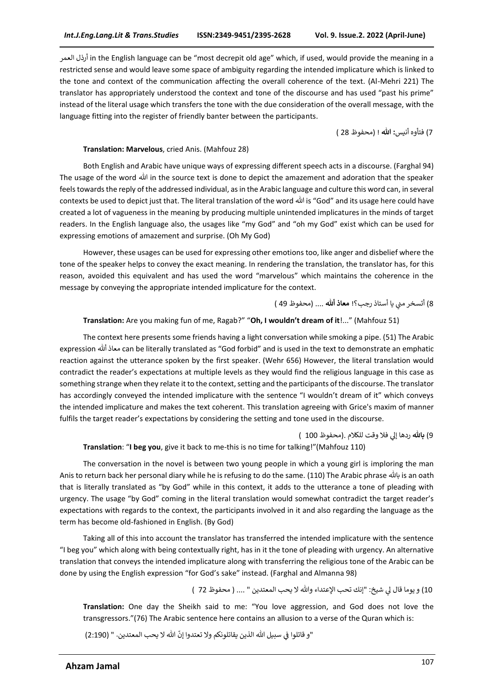العمر أرذل in the English language can be "most decrepit old age" which, if used, would provide the meaning in a restricted sense and would leave some space of ambiguity regarding the intended implicature which is linked to the tone and context of the communication affecting the overall coherence of the text. (Al-Mehri 221) The translator has appropriately understood the context and tone of the discourse and has used "past his prime" instead of the literal usage which transfers the tone with the due consideration of the overall message, with the language fitting into the register of friendly banter between the participants.

7( فتأوه أنيس**: هللا** ! (محفوظ 28 (

#### **Translation: Marvelous**, cried Anis. (Mahfouz 28)

Both English and Arabic have unique ways of expressing different speech acts in a discourse. (Farghal 94) The usage of the word هللا in the source text is done to depict the amazement and adoration that the speaker feels towards the reply of the addressed individual, as in the Arabic language and culture this word can, in several contexts be used to depict just that. The literal translation of the word هللا is "God" and its usage here could have created a lot of vagueness in the meaning by producing multiple unintended implicatures in the minds of target readers. In the English language also, the usages like "my God" and "oh my God" exist which can be used for expressing emotions of amazement and surprise. (Oh My God)

However, these usages can be used for expressing other emotions too, like anger and disbelief where the tone of the speaker helps to convey the exact meaning. In rendering the translation, the translator has, for this reason, avoided this equivalent and has used the word "marvelous" which maintains the coherence in the message by conveying the appropriate intended implicature for the context.

8) أتسخر مني يا أستاذ رجب؟! **معاذ ألل**ه .... (محفوظ 49 ) ي

#### **Translation:** Are you making fun of me, Ragab?" "**Oh, I wouldn't dream of it**!..." (Mahfouz 51)

The context here presents some friends having a light conversation while smoking a pipe. (51) The Arabic expression أهلل معاذ can be literally translated as "God forbid" and is used in the text to demonstrate an emphatic reaction against the utterance spoken by the first speaker. (Wehr 656) However, the literal translation would contradict the reader's expectations at multiple levels as they would find the religious language in this case as something strange when they relate it to the context, setting and the participants of the discourse. The translator has accordingly conveyed the intended implicature with the sentence "I wouldn't dream of it" which conveys the intended implicature and makes the text coherent. This translation agreeing with Grice's maxim of manner fulfils the target reader's expectations by considering the setting and tone used in the discourse.

9) **بالل**ه ردها إلي فلا وقت للكلام .(محفوظ 100 ) **Translation**: "**I beg you**, give it back to me-this is no time for talking!"(Mahfouz 110)

The conversation in the novel is between two young people in which a young girl is imploring the man Anis to return back her personal diary while he is refusing to do the same. (110) The Arabic phrase باهلل is an oath that is literally translated as "by God" while in this context, it adds to the utterance a tone of pleading with urgency. The usage "by God" coming in the literal translation would somewhat contradict the target reader's expectations with regards to the context, the participants involved in it and also regarding the language as the term has become old-fashioned in English. (By God)

Taking all of this into account the translator has transferred the intended implicature with the sentence "I beg you" which along with being contextually right, has in it the tone of pleading with urgency. An alternative translation that conveys the intended implicature along with transferring the religious tone of the Arabic can be done by using the English expression "for God's sake" instead. (Farghal and Almanna 98)

10) و يوما قال لي شيخ: "إنك تحب الإعتداء والله لا يحب المعتدين " .... ( محفوظ 72 )

**Translation:** One day the Sheikh said to me: "You love aggression, and God does not love the transgressors."(76) The Arabic sentence here contains an allusion to a verse of the Quran which is:

"و قاتلوا في سبيل الله الذين يقاتلونكم ولا تعتدوا إنّ الله لا يحب المعتدين. " (2:190) :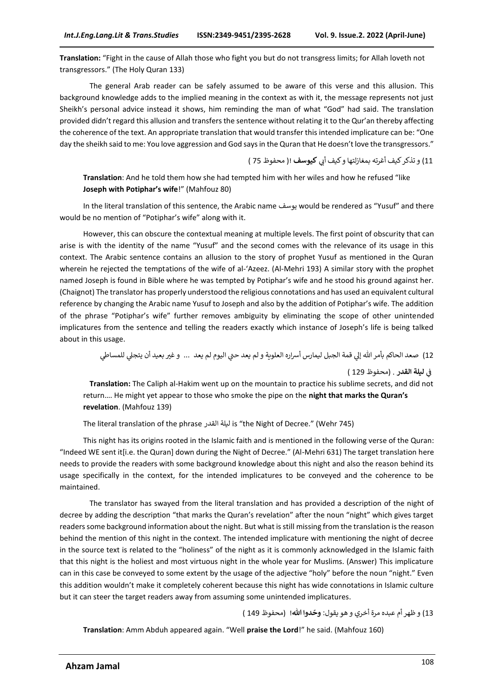**Translation:** "Fight in the cause of Allah those who fight you but do not transgress limits; for Allah loveth not transgressors." (The Holy Quran 133)

The general Arab reader can be safely assumed to be aware of this verse and this allusion. This background knowledge adds to the implied meaning in the context as with it, the message represents not just Sheikh's personal advice instead it shows, him reminding the man of what "God" had said. The translation provided didn't regard this allusion and transfers the sentence without relating it to the Qur'an thereby affecting the coherence of the text. An appropriate translation that would transfer this intended implicature can be: "One day the sheikh said to me: You love aggression and God says in the Quran that He doesn't love the transgressors."

11) و تذكر كيف أغرته بمغازلتها و كيف أبي **كيوسف** !( محفوظ 75 )

**Translation**: And he told them how she had tempted him with her wiles and how he refused "like **Joseph with Potiphar's wife**!" (Mahfouz 80)

In the literal translation of this sentence, the Arabic name يوسف would be rendered as "Yusuf" and there would be no mention of "Potiphar's wife" along with it.

However, this can obscure the contextual meaning at multiple levels. The first point of obscurity that can arise is with the identity of the name "Yusuf" and the second comes with the relevance of its usage in this context. The Arabic sentence contains an allusion to the story of prophet Yusuf as mentioned in the Quran wherein he rejected the temptations of the wife of al-'Azeez. (Al-Mehri 193) A similar story with the prophet named Joseph is found in Bible where he was tempted by Potiphar's wife and he stood his ground against her. (Chaignot) The translator has properly understood the religious connotations and has used an equivalent cultural reference by changing the Arabic name Yusuf to Joseph and also by the addition of Potiphar's wife. The addition of the phrase "Potiphar's wife" further removes ambiguity by eliminating the scope of other unintended implicatures from the sentence and telling the readers exactly which instance of Joseph's life is being talked about in this usage.

12) صعد الحاكم بأمر الله إلي قمة الجبل ليمارس أسراره العلوية و لم يعد حتي اليوم لم يعد … و غير بعيد أن يتجلي للمساطي

. )محفوظ 129 ( ف **ليلةنالقدرن** ي :

**Translation:** The Caliph al-Hakim went up on the mountain to practice his sublime secrets, and did not return…. He might yet appear to those who smoke the pipe on the **night that marks the Quran's revelation**. (Mahfouz 139)

The literal translation of the phrase القدر ليلة is "the Night of Decree." (Wehr 745)

This night has its origins rooted in the Islamic faith and is mentioned in the following verse of the Quran: "Indeed WE sent it[i.e. the Quran] down during the Night of Decree." (Al-Mehri 631) The target translation here needs to provide the readers with some background knowledge about this night and also the reason behind its usage specifically in the context, for the intended implicatures to be conveyed and the coherence to be maintained.

The translator has swayed from the literal translation and has provided a description of the night of decree by adding the description "that marks the Quran's revelation" after the noun "night" which gives target readers some background information about the night. But what is still missing from the translation is the reason behind the mention of this night in the context. The intended implicature with mentioning the night of decree in the source text is related to the "holiness" of the night as it is commonly acknowledged in the Islamic faith that this night is the holiest and most virtuous night in the whole year for Muslims. (Answer) This implicature can in this case be conveyed to some extent by the usage of the adjective "holy" before the noun "night." Even this addition wouldn't make it completely coherent because this night has wide connotations in Islamic culture but it can steer the target readers away from assuming some unintended implicatures.

13) و ظهر أم عبده مرة أخري و هو يقول: **وحّدوا الله! (محفوظ 149 )** 

**Translation**: Amm Abduh appeared again. "Well **praise the Lord**!" he said. (Mahfouz 160)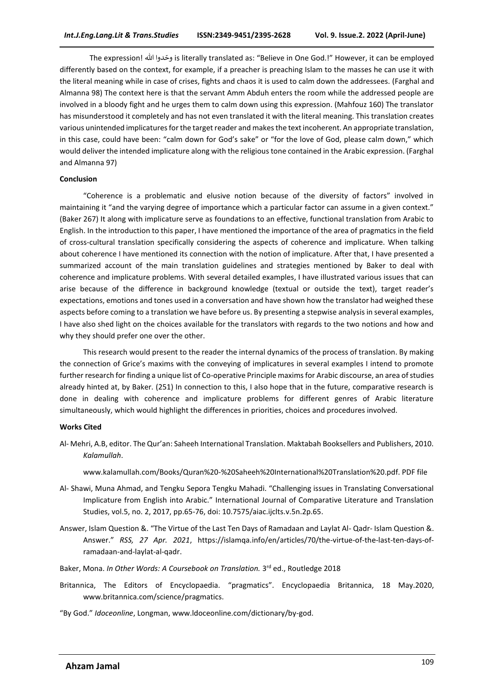The expression! هللا ا وحدو is literally translated as: "Believe in One God.!" However, it can be employed differently based on the context, for example, if a preacher is preaching Islam to the masses he can use it with the literal meaning while in case of crises, fights and chaos it is used to calm down the addressees. (Farghal and Almanna 98) The context here is that the servant Amm Abduh enters the room while the addressed people are involved in a bloody fight and he urges them to calm down using this expression. (Mahfouz 160) The translator has misunderstood it completely and has not even translated it with the literal meaning. This translation creates various unintended implicatures for the target reader and makes the text incoherent. An appropriate translation, in this case, could have been: "calm down for God's sake" or "for the love of God, please calm down," which would deliver the intended implicature along with the religious tone contained in the Arabic expression. (Farghal and Almanna 97)

#### **Conclusion**

"Coherence is a problematic and elusive notion because of the diversity of factors" involved in maintaining it "and the varying degree of importance which a particular factor can assume in a given context." (Baker 267) It along with implicature serve as foundations to an effective, functional translation from Arabic to English. In the introduction to this paper, I have mentioned the importance of the area of pragmatics in the field of cross-cultural translation specifically considering the aspects of coherence and implicature. When talking about coherence I have mentioned its connection with the notion of implicature. After that, I have presented a summarized account of the main translation guidelines and strategies mentioned by Baker to deal with coherence and implicature problems. With several detailed examples, I have illustrated various issues that can arise because of the difference in background knowledge (textual or outside the text), target reader's expectations, emotions and tones used in a conversation and have shown how the translator had weighed these aspects before coming to a translation we have before us. By presenting a stepwise analysis in several examples, I have also shed light on the choices available for the translators with regards to the two notions and how and why they should prefer one over the other.

This research would present to the reader the internal dynamics of the process of translation. By making the connection of Grice's maxims with the conveying of implicatures in several examples I intend to promote further research for finding a unique list of Co-operative Principle maxims for Arabic discourse, an area of studies already hinted at, by Baker. (251) In connection to this, I also hope that in the future, comparative research is done in dealing with coherence and implicature problems for different genres of Arabic literature simultaneously, which would highlight the differences in priorities, choices and procedures involved.

#### **Works Cited**

Al- Mehri, A.B, editor. The Qur'an: Saheeh International Translation. Maktabah Booksellers and Publishers, 2010. *Kalamullah*.

www.kalamullah.com/Books/Quran%20-%20Saheeh%20International%20Translation%20.pdf. PDF file

- Al- Shawi, Muna Ahmad, and Tengku Sepora Tengku Mahadi. "Challenging issues in Translating Conversational Implicature from English into Arabic." International Journal of Comparative Literature and Translation Studies, vol.5, no. 2, 2017, pp.65-76, doi: 10.7575/aiac.ijclts.v.5n.2p.65.
- Answer, Islam Question &. "The Virtue of the Last Ten Days of Ramadaan and Laylat Al- Qadr- Islam Question &. Answer." *RSS, 27 Apr. 2021*, [https://islamqa.info/en/articles/70/the-virtue-of-the-last-ten-days-of](https://islamqa.info/en/articles/70/the-virtue-of-the-last-ten-days-of-ramadaan-and-laylat-al-qadr)[ramadaan-and-laylat-al-qadr.](https://islamqa.info/en/articles/70/the-virtue-of-the-last-ten-days-of-ramadaan-and-laylat-al-qadr)
- Baker, Mona. *In Other Words: A Coursebook on Translation.* 3 rd ed., Routledge 2018
- Britannica, The Editors of Encyclopaedia. "pragmatics". Encyclopaedia Britannica, 18 May.2020, www.britannica.com/science/pragmatics.
- "By God." *Idoceonline*, Longman[, www.ldoceonline.com/dictionary/by-god.](http://www.ldoceonline.com/dictionary/by-god)